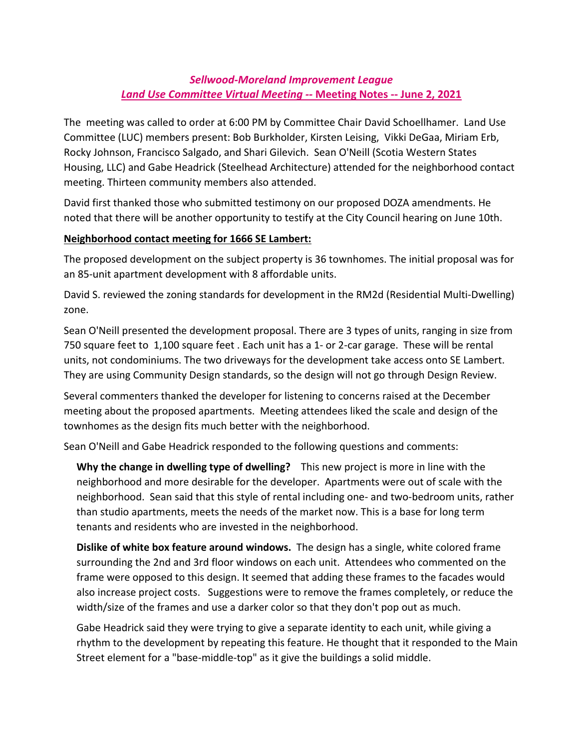## *Sellwood-Moreland Improvement League Land Use Committee Virtual Meeting --* **Meeting Notes -- June 2, 2021**

The meeting was called to order at 6:00 PM by Committee Chair David Schoellhamer. Land Use Committee (LUC) members present: Bob Burkholder, Kirsten Leising, Vikki DeGaa, Miriam Erb, Rocky Johnson, Francisco Salgado, and Shari Gilevich. Sean O'Neill (Scotia Western States Housing, LLC) and Gabe Headrick (Steelhead Architecture) attended for the neighborhood contact meeting. Thirteen community members also attended.

David first thanked those who submitted testimony on our proposed DOZA amendments. He noted that there will be another opportunity to testify at the City Council hearing on June 10th.

## **Neighborhood contact meeting for 1666 SE Lambert:**

The proposed development on the subject property is 36 townhomes. The initial proposal was for an 85-unit apartment development with 8 affordable units.

David S. reviewed the zoning standards for development in the RM2d (Residential Multi-Dwelling) zone.

Sean O'Neill presented the development proposal. There are 3 types of units, ranging in size from 750 square feet to 1,100 square feet . Each unit has a 1- or 2-car garage. These will be rental units, not condominiums. The two driveways for the development take access onto SE Lambert. They are using Community Design standards, so the design will not go through Design Review.

Several commenters thanked the developer for listening to concerns raised at the December meeting about the proposed apartments. Meeting attendees liked the scale and design of the townhomes as the design fits much better with the neighborhood.

Sean O'Neill and Gabe Headrick responded to the following questions and comments:

**Why the change in dwelling type of dwelling?** This new project is more in line with the neighborhood and more desirable for the developer. Apartments were out of scale with the neighborhood. Sean said that this style of rental including one- and two-bedroom units, rather than studio apartments, meets the needs of the market now. This is a base for long term tenants and residents who are invested in the neighborhood.

**Dislike of white box feature around windows.** The design has a single, white colored frame surrounding the 2nd and 3rd floor windows on each unit. Attendees who commented on the frame were opposed to this design. It seemed that adding these frames to the facades would also increase project costs. Suggestions were to remove the frames completely, or reduce the width/size of the frames and use a darker color so that they don't pop out as much.

Gabe Headrick said they were trying to give a separate identity to each unit, while giving a rhythm to the development by repeating this feature. He thought that it responded to the Main Street element for a "base-middle-top" as it give the buildings a solid middle.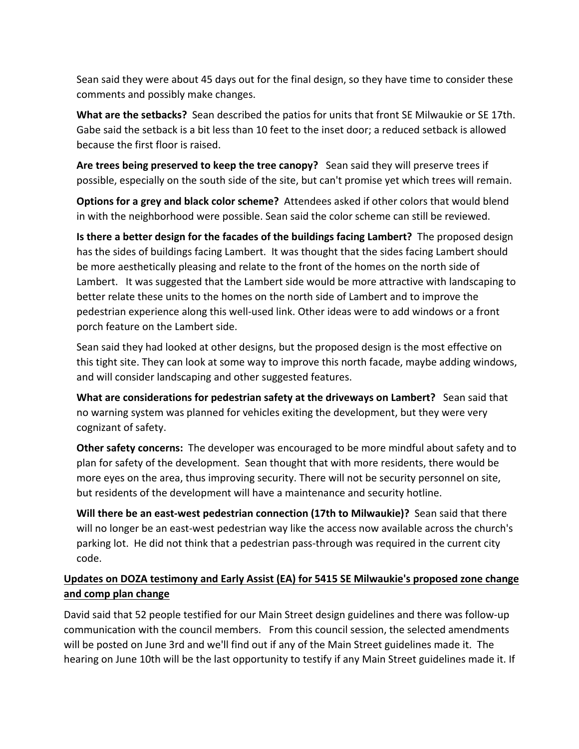Sean said they were about 45 days out for the final design, so they have time to consider these comments and possibly make changes.

**What are the setbacks?** Sean described the patios for units that front SE Milwaukie or SE 17th. Gabe said the setback is a bit less than 10 feet to the inset door; a reduced setback is allowed because the first floor is raised.

**Are trees being preserved to keep the tree canopy?** Sean said they will preserve trees if possible, especially on the south side of the site, but can't promise yet which trees will remain.

**Options for a grey and black color scheme?** Attendees asked if other colors that would blend in with the neighborhood were possible. Sean said the color scheme can still be reviewed.

**Is there a better design for the facades of the buildings facing Lambert?** The proposed design has the sides of buildings facing Lambert. It was thought that the sides facing Lambert should be more aesthetically pleasing and relate to the front of the homes on the north side of Lambert. It was suggested that the Lambert side would be more attractive with landscaping to better relate these units to the homes on the north side of Lambert and to improve the pedestrian experience along this well-used link. Other ideas were to add windows or a front porch feature on the Lambert side.

Sean said they had looked at other designs, but the proposed design is the most effective on this tight site. They can look at some way to improve this north facade, maybe adding windows, and will consider landscaping and other suggested features.

**What are considerations for pedestrian safety at the driveways on Lambert?** Sean said that no warning system was planned for vehicles exiting the development, but they were very cognizant of safety.

**Other safety concerns:** The developer was encouraged to be more mindful about safety and to plan for safety of the development. Sean thought that with more residents, there would be more eyes on the area, thus improving security. There will not be security personnel on site, but residents of the development will have a maintenance and security hotline.

**Will there be an east-west pedestrian connection (17th to Milwaukie)?** Sean said that there will no longer be an east-west pedestrian way like the access now available across the church's parking lot. He did not think that a pedestrian pass-through was required in the current city code.

## **Updates on DOZA testimony and Early Assist (EA) for 5415 SE Milwaukie's proposed zone change and comp plan change**

David said that 52 people testified for our Main Street design guidelines and there was follow-up communication with the council members. From this council session, the selected amendments will be posted on June 3rd and we'll find out if any of the Main Street guidelines made it. The hearing on June 10th will be the last opportunity to testify if any Main Street guidelines made it. If